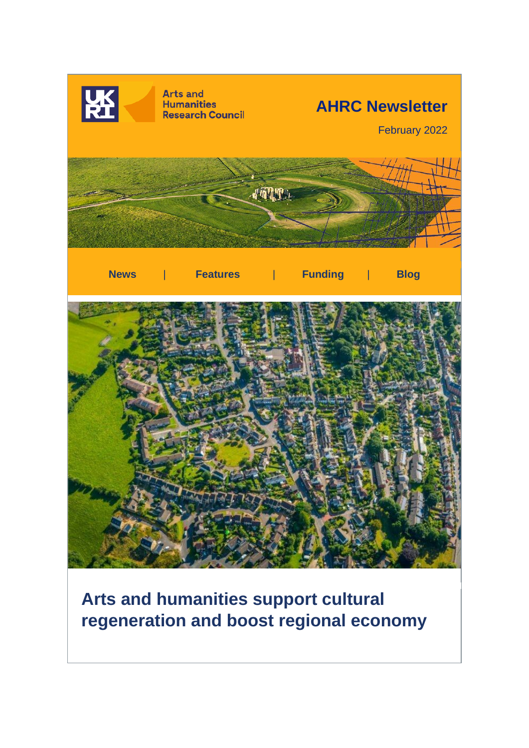

# **Arts and humanities support cultural regeneration and boost regional economy**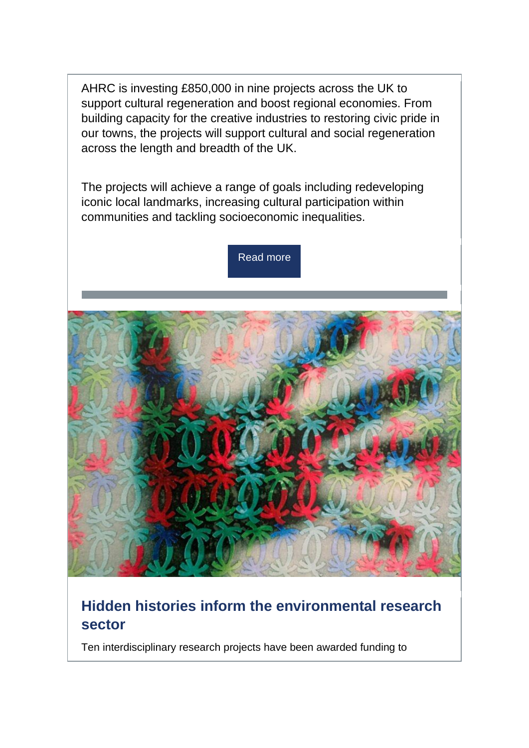AHRC is investing £850,000 in nine projects across the UK to support cultural regeneration and boost regional economies. From building capacity for the creative industries to restoring civic pride in our towns, the projects will support cultural and social regeneration across the length and breadth of the UK.

The projects will achieve a range of goals including redeveloping iconic local landmarks, increasing cultural participation within communities and tackling socioeconomic inequalities.

[Read more](https://r20.rs6.net/tn.jsp?f=001Ojx5rmEWqJ77zvCCeMJBv_PHMoqjztr6oEPE_ZDzOw5QtAwZlh3MpTJWU1ItyojMV-ppcAJdFaA-xwVZgX5u5XoUaALBXar0OhnPDb_pha9OdLdomiqCaWiPKnss8tSHG8msC361SGZzcDcDumjk54EycEurxKDNT5thjxOvXDDkekveEDBMnsPR9TKq0KWj8eFIkNYBu_V0U1F4t0gguXnQ7BON5uNXn3d8to4PUY8=&c=lNuuC5O2zfp--JsveHg3aQwA69VCSNKAzLlpv0hg-61m04RdEIyt7A==&ch=IIRCc8U6I67SgowvXLtJlGl7K65x_13quDl6jd-r1EsTNF5k51Mo7Q==)



## **Hidden histories inform the environmental research sector**

Ten interdisciplinary research projects have been awarded funding to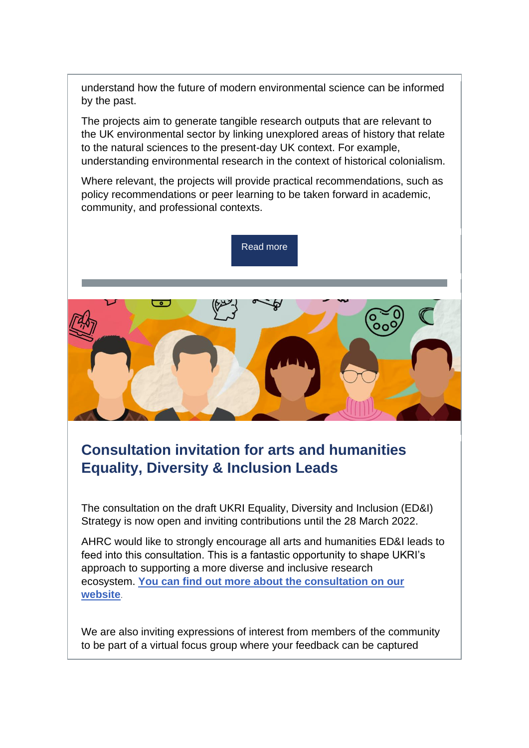understand how the future of modern environmental science can be informed by the past.

The projects aim to generate tangible research outputs that are relevant to the UK environmental sector by linking unexplored areas of history that relate to the natural sciences to the present-day UK context. For example, understanding environmental research in the context of historical colonialism.

Where relevant, the projects will provide practical recommendations, such as policy recommendations or peer learning to be taken forward in academic, community, and professional contexts.

[Read more](https://r20.rs6.net/tn.jsp?f=001Ojx5rmEWqJ77zvCCeMJBv_PHMoqjztr6oEPE_ZDzOw5QtAwZlh3MpTJWU1ItyojM6WJhbTyV1yLALqrUEGjPje4UGO3cqrjji46VdrVgJXDuQv-ZfiM9kUlyr2cna6RVSFEkzMd0-5YYZ51yYmgL_xBCaVVQL84aIOfg1-2TaeKYr6TcoHO-IxNNrP47dEdOKNUIge8Vox0HXbRqLllu8h7nDe9L__RsRoWcH9B_X3M=&c=lNuuC5O2zfp--JsveHg3aQwA69VCSNKAzLlpv0hg-61m04RdEIyt7A==&ch=IIRCc8U6I67SgowvXLtJlGl7K65x_13quDl6jd-r1EsTNF5k51Mo7Q==)



### **Consultation invitation for arts and humanities Equality, Diversity & Inclusion Leads**

The consultation on the draft UKRI Equality, Diversity and Inclusion (ED&I) Strategy is now open and inviting contributions until the 28 March 2022.

AHRC would like to strongly encourage all arts and humanities ED&I leads to feed into this consultation. This is a fantastic opportunity to shape UKRI's approach to supporting a more diverse and inclusive research ecosystem. **[You can find out more about the consultation on our](https://r20.rs6.net/tn.jsp?f=001Ojx5rmEWqJ77zvCCeMJBv_PHMoqjztr6oEPE_ZDzOw5QtAwZlh3MpTJWU1ItyojM4dWYKGlbIu1S9CmGUrpQ0Mm_HHr4ufQ8j726VOt8t8FrArpPTV2s_7Mg455sTvYwWkp3RoH_HcH0JID429-LjB0gbyT9QPcWzRunKVUhGlzGa9EVtsYpgPmug3mpYgW7HrM_vUlWAW7QQVFUBnPfX1Jjx54ZrKxewVMUUn9-7px-seUYPkSWjDX72N8iAD4b&c=lNuuC5O2zfp--JsveHg3aQwA69VCSNKAzLlpv0hg-61m04RdEIyt7A==&ch=IIRCc8U6I67SgowvXLtJlGl7K65x_13quDl6jd-r1EsTNF5k51Mo7Q==)  [website](https://r20.rs6.net/tn.jsp?f=001Ojx5rmEWqJ77zvCCeMJBv_PHMoqjztr6oEPE_ZDzOw5QtAwZlh3MpTJWU1ItyojM4dWYKGlbIu1S9CmGUrpQ0Mm_HHr4ufQ8j726VOt8t8FrArpPTV2s_7Mg455sTvYwWkp3RoH_HcH0JID429-LjB0gbyT9QPcWzRunKVUhGlzGa9EVtsYpgPmug3mpYgW7HrM_vUlWAW7QQVFUBnPfX1Jjx54ZrKxewVMUUn9-7px-seUYPkSWjDX72N8iAD4b&c=lNuuC5O2zfp--JsveHg3aQwA69VCSNKAzLlpv0hg-61m04RdEIyt7A==&ch=IIRCc8U6I67SgowvXLtJlGl7K65x_13quDl6jd-r1EsTNF5k51Mo7Q==)**.

We are also inviting expressions of interest from members of the community to be part of a virtual focus group where your feedback can be captured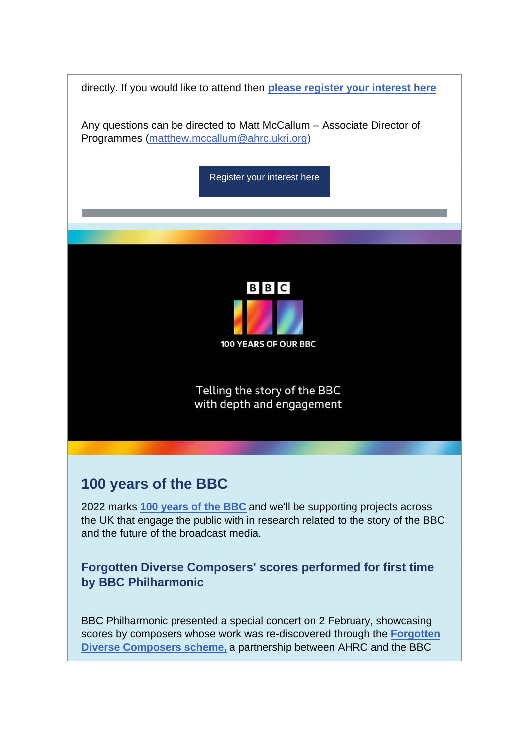

BBC Philharmonic presented a special concert on 2 February, showcasing scores by composers whose work was re-discovered through the **[Forgotten](https://r20.rs6.net/tn.jsp?f=001Ojx5rmEWqJ77zvCCeMJBv_PHMoqjztr6oEPE_ZDzOw5QtAwZlh3MpbIQGIDacHWnw4x1puyp1xvuQV7BAuPIoajWFQO7rRJxxT1SqbIAr70YJ1N5GjLcxFiDzJF_lBuuB_X9fGcrhCEt_T79VpqlF2kLp2a_gSxt-rTha6-4Ks2ra-qITIwWaHvbfLydSGeTjpbiY0x84HrAZL44qF_aS76pCZY1TGHTGI64H4acUcJ6ZlDzNu-sNA==&c=lNuuC5O2zfp--JsveHg3aQwA69VCSNKAzLlpv0hg-61m04RdEIyt7A==&ch=IIRCc8U6I67SgowvXLtJlGl7K65x_13quDl6jd-r1EsTNF5k51Mo7Q==)  [Diverse Composers scheme,](https://r20.rs6.net/tn.jsp?f=001Ojx5rmEWqJ77zvCCeMJBv_PHMoqjztr6oEPE_ZDzOw5QtAwZlh3MpbIQGIDacHWnw4x1puyp1xvuQV7BAuPIoajWFQO7rRJxxT1SqbIAr70YJ1N5GjLcxFiDzJF_lBuuB_X9fGcrhCEt_T79VpqlF2kLp2a_gSxt-rTha6-4Ks2ra-qITIwWaHvbfLydSGeTjpbiY0x84HrAZL44qF_aS76pCZY1TGHTGI64H4acUcJ6ZlDzNu-sNA==&c=lNuuC5O2zfp--JsveHg3aQwA69VCSNKAzLlpv0hg-61m04RdEIyt7A==&ch=IIRCc8U6I67SgowvXLtJlGl7K65x_13quDl6jd-r1EsTNF5k51Mo7Q==)** a partnership between AHRC and the BBC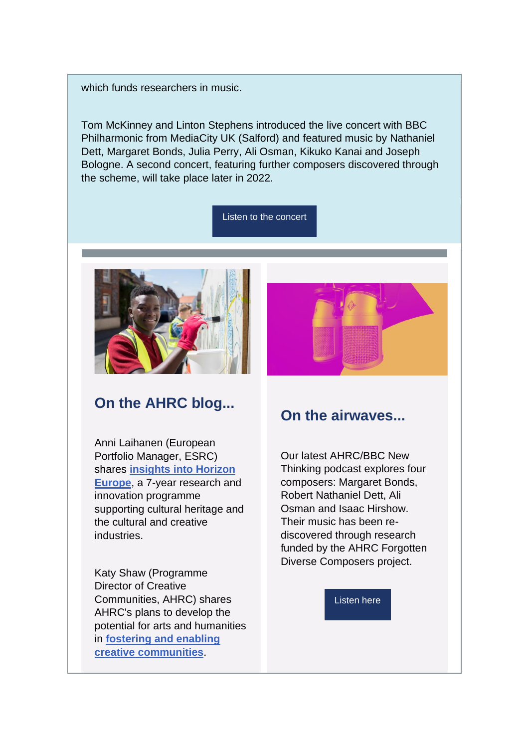which funds researchers in music.

Tom McKinney and Linton Stephens introduced the live concert with BBC Philharmonic from MediaCity UK (Salford) and featured music by Nathaniel Dett, Margaret Bonds, Julia Perry, Ali Osman, Kikuko Kanai and Joseph Bologne. A second concert, featuring further composers discovered through the scheme, will take place later in 2022.

[Listen to the concert](https://r20.rs6.net/tn.jsp?f=001Ojx5rmEWqJ77zvCCeMJBv_PHMoqjztr6oEPE_ZDzOw5QtAwZlh3MpfMIj0GF6RUjnfzhgkJjyJrb8PVYzwlOh2qpFxorPknZ8Zyh5BKyIRSRBmrRUp3u5kqnkrIbRSaL0WhdCgBcAt4dz_Djbm0XUW5c41vPecHHmcvqbiksOkY=&c=lNuuC5O2zfp--JsveHg3aQwA69VCSNKAzLlpv0hg-61m04RdEIyt7A==&ch=IIRCc8U6I67SgowvXLtJlGl7K65x_13quDl6jd-r1EsTNF5k51Mo7Q==)



### **On the AHRC blog...**

Anni Laihanen (European Portfolio Manager, ESRC) shares **[insights into Horizon](https://r20.rs6.net/tn.jsp?f=001Ojx5rmEWqJ77zvCCeMJBv_PHMoqjztr6oEPE_ZDzOw5QtAwZlh3MpTJWU1ItyojMY6lcPK2ojkLGvhii1tA0GOS7aUqnurNQd3ykht0ViLnovT9BcVvuozNM38342aJXY9SxavMlLb3y11QMKmUz-SkrIIztRR7ClLwi0nVrutMNVSSONcUE6vGXUXba-iI9CJl-umA1dj24xFGZaebh1u0tY7JeQK5nScEvV4w8EpI=&c=lNuuC5O2zfp--JsveHg3aQwA69VCSNKAzLlpv0hg-61m04RdEIyt7A==&ch=IIRCc8U6I67SgowvXLtJlGl7K65x_13quDl6jd-r1EsTNF5k51Mo7Q==)  [Europe](https://r20.rs6.net/tn.jsp?f=001Ojx5rmEWqJ77zvCCeMJBv_PHMoqjztr6oEPE_ZDzOw5QtAwZlh3MpTJWU1ItyojMY6lcPK2ojkLGvhii1tA0GOS7aUqnurNQd3ykht0ViLnovT9BcVvuozNM38342aJXY9SxavMlLb3y11QMKmUz-SkrIIztRR7ClLwi0nVrutMNVSSONcUE6vGXUXba-iI9CJl-umA1dj24xFGZaebh1u0tY7JeQK5nScEvV4w8EpI=&c=lNuuC5O2zfp--JsveHg3aQwA69VCSNKAzLlpv0hg-61m04RdEIyt7A==&ch=IIRCc8U6I67SgowvXLtJlGl7K65x_13quDl6jd-r1EsTNF5k51Mo7Q==)**, a 7-year research and innovation programme supporting cultural heritage and the cultural and creative industries.

Katy Shaw (Programme Director of Creative Communities, AHRC) shares AHRC's plans to develop the potential for arts and humanities in **[fostering and enabling](https://r20.rs6.net/tn.jsp?f=001Ojx5rmEWqJ77zvCCeMJBv_PHMoqjztr6oEPE_ZDzOw5QtAwZlh3MpTJWU1ItyojMDoHfjgTwnWbGU2tXLGUZFIfJCHT7kfiMRMRah2RubsJV30dyvOxNtjQrdMyICOasBmbIpU9OotWCFre3NwRYGgb_Ys_u-8_ntl-Gt-6xEaUZTNPVgdPosHUDlUhSyyW_b2CFJQhwu-s=&c=lNuuC5O2zfp--JsveHg3aQwA69VCSNKAzLlpv0hg-61m04RdEIyt7A==&ch=IIRCc8U6I67SgowvXLtJlGl7K65x_13quDl6jd-r1EsTNF5k51Mo7Q==)  [creative communities](https://r20.rs6.net/tn.jsp?f=001Ojx5rmEWqJ77zvCCeMJBv_PHMoqjztr6oEPE_ZDzOw5QtAwZlh3MpTJWU1ItyojMDoHfjgTwnWbGU2tXLGUZFIfJCHT7kfiMRMRah2RubsJV30dyvOxNtjQrdMyICOasBmbIpU9OotWCFre3NwRYGgb_Ys_u-8_ntl-Gt-6xEaUZTNPVgdPosHUDlUhSyyW_b2CFJQhwu-s=&c=lNuuC5O2zfp--JsveHg3aQwA69VCSNKAzLlpv0hg-61m04RdEIyt7A==&ch=IIRCc8U6I67SgowvXLtJlGl7K65x_13quDl6jd-r1EsTNF5k51Mo7Q==)**.



### **On the airwaves...**

Our latest AHRC/BBC New Thinking podcast explores four composers: Margaret Bonds, Robert Nathaniel Dett, Ali Osman and Isaac Hirshow. Their music has been rediscovered through research funded by the AHRC Forgotten Diverse Composers project.

[Listen here](https://r20.rs6.net/tn.jsp?f=001Ojx5rmEWqJ77zvCCeMJBv_PHMoqjztr6oEPE_ZDzOw5QtAwZlh3MpTJWU1ItyojM2gry7XgSj-SLJZVtVnVUdvf_socNP_XBaMxRD8CTD27KxnGgKLvQgQeeaG6CBJadD9UXVXhdv55CS8k3P95_xO0wGKlX_-69IEwCJsTU7n8=&c=lNuuC5O2zfp--JsveHg3aQwA69VCSNKAzLlpv0hg-61m04RdEIyt7A==&ch=IIRCc8U6I67SgowvXLtJlGl7K65x_13quDl6jd-r1EsTNF5k51Mo7Q==)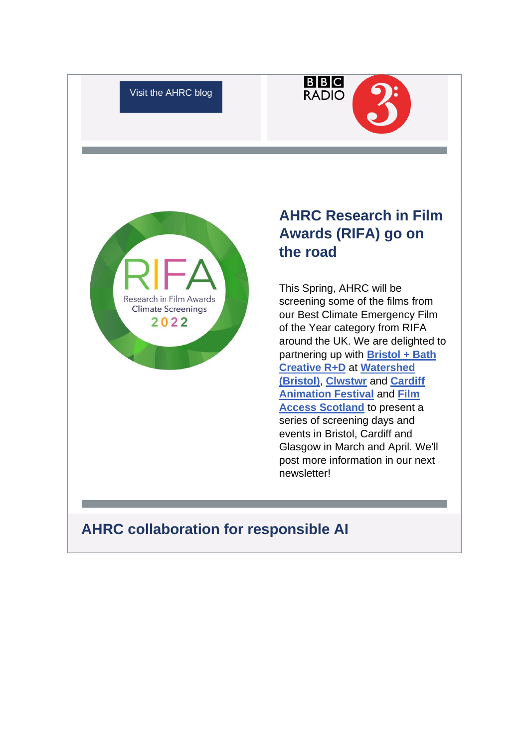[Visit the AHRC blog](https://r20.rs6.net/tn.jsp?f=001Ojx5rmEWqJ77zvCCeMJBv_PHMoqjztr6oEPE_ZDzOw5QtAwZlh3MpfMIj0GF6RUjDTNbvrIk2i8Kyw-IE1sx9lgA6QMsyv-GEkyWO8ipzJu27F82pC-lMPaEkL-L9z1QSmaVI2UDG2pReC3AgSbS4VZspH4uPjCj0qn2yYWYma0=&c=lNuuC5O2zfp--JsveHg3aQwA69VCSNKAzLlpv0hg-61m04RdEIyt7A==&ch=IIRCc8U6I67SgowvXLtJlGl7K65x_13quDl6jd-r1EsTNF5k51Mo7Q==)





## **AHRC Research in Film Awards (RIFA) go on the road**

This Spring, AHRC will be screening some of the films from our Best Climate Emergency Film of the Year category from RIFA around the UK. We are delighted to partnering up with **[Bristol + Bath](https://r20.rs6.net/tn.jsp?f=001Ojx5rmEWqJ77zvCCeMJBv_PHMoqjztr6oEPE_ZDzOw5QtAwZlh3MpTJWU1ItyojM-syi1GlbuPwsvV41Fk5QvNs4d8e8uwr5URdckkJ0zsleyY9zk9ql-C99x5S_zqQHvisHnVJ4JJwt7hYmQ5cYSBJCzNERxY0o&c=lNuuC5O2zfp--JsveHg3aQwA69VCSNKAzLlpv0hg-61m04RdEIyt7A==&ch=IIRCc8U6I67SgowvXLtJlGl7K65x_13quDl6jd-r1EsTNF5k51Mo7Q==)  [Creative R+D](https://r20.rs6.net/tn.jsp?f=001Ojx5rmEWqJ77zvCCeMJBv_PHMoqjztr6oEPE_ZDzOw5QtAwZlh3MpTJWU1ItyojM-syi1GlbuPwsvV41Fk5QvNs4d8e8uwr5URdckkJ0zsleyY9zk9ql-C99x5S_zqQHvisHnVJ4JJwt7hYmQ5cYSBJCzNERxY0o&c=lNuuC5O2zfp--JsveHg3aQwA69VCSNKAzLlpv0hg-61m04RdEIyt7A==&ch=IIRCc8U6I67SgowvXLtJlGl7K65x_13quDl6jd-r1EsTNF5k51Mo7Q==)** at **[Watershed](https://r20.rs6.net/tn.jsp?f=001Ojx5rmEWqJ77zvCCeMJBv_PHMoqjztr6oEPE_ZDzOw5QtAwZlh3MpTJWU1ItyojM5Fh6AIh2DAh1MhXGmn48hhMlRPzTW-lf7pAEIPMPFQh8gMbanXWLUFRmEdzAv0oKTmux9oTNoVnu_7D2PMXR3A==&c=lNuuC5O2zfp--JsveHg3aQwA69VCSNKAzLlpv0hg-61m04RdEIyt7A==&ch=IIRCc8U6I67SgowvXLtJlGl7K65x_13quDl6jd-r1EsTNF5k51Mo7Q==)  [\(Bristol\)](https://r20.rs6.net/tn.jsp?f=001Ojx5rmEWqJ77zvCCeMJBv_PHMoqjztr6oEPE_ZDzOw5QtAwZlh3MpTJWU1ItyojM5Fh6AIh2DAh1MhXGmn48hhMlRPzTW-lf7pAEIPMPFQh8gMbanXWLUFRmEdzAv0oKTmux9oTNoVnu_7D2PMXR3A==&c=lNuuC5O2zfp--JsveHg3aQwA69VCSNKAzLlpv0hg-61m04RdEIyt7A==&ch=IIRCc8U6I67SgowvXLtJlGl7K65x_13quDl6jd-r1EsTNF5k51Mo7Q==)**, **[Clwstwr](https://r20.rs6.net/tn.jsp?f=001Ojx5rmEWqJ77zvCCeMJBv_PHMoqjztr6oEPE_ZDzOw5QtAwZlh3MpVkmZln-IWaeDvNPkwZv-bbfhTVlsCKssSw5Xea4fak6h-uAbR0V6jroB9hf0qOiY6SxBd9nCn4RruDeNsmRNdC3HL454LGLKA==&c=lNuuC5O2zfp--JsveHg3aQwA69VCSNKAzLlpv0hg-61m04RdEIyt7A==&ch=IIRCc8U6I67SgowvXLtJlGl7K65x_13quDl6jd-r1EsTNF5k51Mo7Q==)** and **[Cardiff](https://r20.rs6.net/tn.jsp?f=001Ojx5rmEWqJ77zvCCeMJBv_PHMoqjztr6oEPE_ZDzOw5QtAwZlh3MpTJWU1ItyojMvKtC5EbQ8dsuOzvRTJn2nXjxLOvuH3EGokM-jMO_abisQz_nO_4hBRs-wemz361yiGN7VF9BKufcobf2-Skyqy_kD-uNSbPA&c=lNuuC5O2zfp--JsveHg3aQwA69VCSNKAzLlpv0hg-61m04RdEIyt7A==&ch=IIRCc8U6I67SgowvXLtJlGl7K65x_13quDl6jd-r1EsTNF5k51Mo7Q==)  [Animation Festival](https://r20.rs6.net/tn.jsp?f=001Ojx5rmEWqJ77zvCCeMJBv_PHMoqjztr6oEPE_ZDzOw5QtAwZlh3MpTJWU1ItyojMvKtC5EbQ8dsuOzvRTJn2nXjxLOvuH3EGokM-jMO_abisQz_nO_4hBRs-wemz361yiGN7VF9BKufcobf2-Skyqy_kD-uNSbPA&c=lNuuC5O2zfp--JsveHg3aQwA69VCSNKAzLlpv0hg-61m04RdEIyt7A==&ch=IIRCc8U6I67SgowvXLtJlGl7K65x_13quDl6jd-r1EsTNF5k51Mo7Q==)** and **[Film](https://r20.rs6.net/tn.jsp?f=001Ojx5rmEWqJ77zvCCeMJBv_PHMoqjztr6oEPE_ZDzOw5QtAwZlh3MpTJWU1ItyojM8ufr-kFRTTV6u5dDye3BDZI6o8lsCYcC_T50waQfDpHOI5NhwbwccZ5hfr3Y6RNDGAnDJ63AaZMNlAStplBH8A==&c=lNuuC5O2zfp--JsveHg3aQwA69VCSNKAzLlpv0hg-61m04RdEIyt7A==&ch=IIRCc8U6I67SgowvXLtJlGl7K65x_13quDl6jd-r1EsTNF5k51Mo7Q==)  [Access Scotland](https://r20.rs6.net/tn.jsp?f=001Ojx5rmEWqJ77zvCCeMJBv_PHMoqjztr6oEPE_ZDzOw5QtAwZlh3MpTJWU1ItyojM8ufr-kFRTTV6u5dDye3BDZI6o8lsCYcC_T50waQfDpHOI5NhwbwccZ5hfr3Y6RNDGAnDJ63AaZMNlAStplBH8A==&c=lNuuC5O2zfp--JsveHg3aQwA69VCSNKAzLlpv0hg-61m04RdEIyt7A==&ch=IIRCc8U6I67SgowvXLtJlGl7K65x_13quDl6jd-r1EsTNF5k51Mo7Q==)** to present a series of screening days and events in Bristol, Cardiff and Glasgow in March and April. We'll post more information in our next newsletter!

## **AHRC collaboration for responsible AI**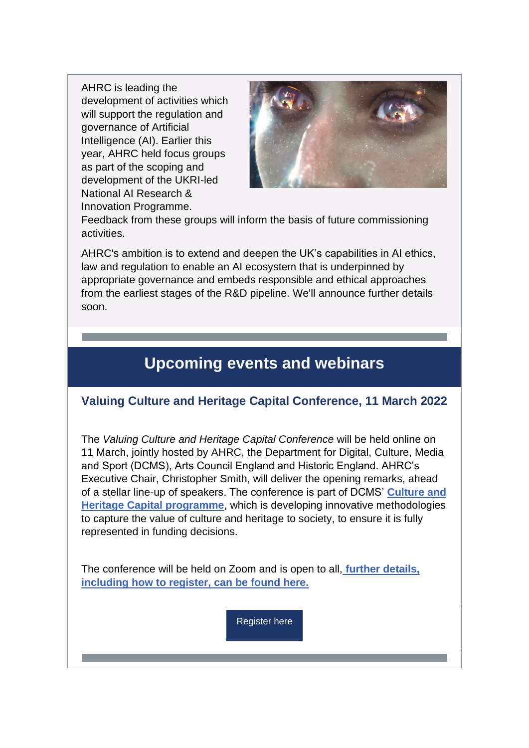AHRC is leading the development of activities which will support the regulation and governance of Artificial Intelligence (AI). Earlier this year, AHRC held focus groups as part of the scoping and development of the UKRI-led National AI Research & Innovation Programme.



Feedback from these groups will inform the basis of future commissioning activities.

AHRC's ambition is to extend and deepen the UK's capabilities in AI ethics, law and regulation to enable an AI ecosystem that is underpinned by appropriate governance and embeds responsible and ethical approaches from the earliest stages of the R&D pipeline. We'll announce further details soon.

## **Upcoming events and webinars**

### **Valuing Culture and Heritage Capital Conference, 11 March 2022**

The *Valuing Culture and Heritage Capital Conference* will be held online on 11 March, jointly hosted by AHRC, the Department for Digital, Culture, Media and Sport (DCMS), Arts Council England and Historic England. AHRC's Executive Chair, Christopher Smith, will deliver the opening remarks, ahead of a stellar line-up of speakers. The conference is part of DCMS' **[Culture and](https://r20.rs6.net/tn.jsp?f=001Ojx5rmEWqJ77zvCCeMJBv_PHMoqjztr6oEPE_ZDzOw5QtAwZlh3MpTJWU1ItyojMy85Q-xF0wruYjGTISIL_RgzDiXQYevGcnthA2RF3olpViMgxGPpIuqhIO57wbudOfnb1xOUdoWTqK8AsR7CR_Sl9JbgsdZWl_sN3oH9RuChkp5iVGmyM3m_vgZX6aERxLT6VylyMM3Y=&c=lNuuC5O2zfp--JsveHg3aQwA69VCSNKAzLlpv0hg-61m04RdEIyt7A==&ch=IIRCc8U6I67SgowvXLtJlGl7K65x_13quDl6jd-r1EsTNF5k51Mo7Q==)  [Heritage Capital programme](https://r20.rs6.net/tn.jsp?f=001Ojx5rmEWqJ77zvCCeMJBv_PHMoqjztr6oEPE_ZDzOw5QtAwZlh3MpTJWU1ItyojMy85Q-xF0wruYjGTISIL_RgzDiXQYevGcnthA2RF3olpViMgxGPpIuqhIO57wbudOfnb1xOUdoWTqK8AsR7CR_Sl9JbgsdZWl_sN3oH9RuChkp5iVGmyM3m_vgZX6aERxLT6VylyMM3Y=&c=lNuuC5O2zfp--JsveHg3aQwA69VCSNKAzLlpv0hg-61m04RdEIyt7A==&ch=IIRCc8U6I67SgowvXLtJlGl7K65x_13quDl6jd-r1EsTNF5k51Mo7Q==)**, which is developing innovative methodologies to capture the value of culture and heritage to society, to ensure it is fully represented in funding decisions.

The conference will be held on Zoom and is open to all, **[further details,](https://r20.rs6.net/tn.jsp?f=001Ojx5rmEWqJ77zvCCeMJBv_PHMoqjztr6oEPE_ZDzOw5QtAwZlh3MpTJWU1ItyojM7YmW69O6bSa_3D276-PK7qD2Sdlyf7DzmFa_uncGKIGaN9uMqUeo-1TSt7cQaIUr2fjq4oWZUmssbJvDl5PDb9i8oxOuTQsBFKq0m2NW3M8EOLYdCczc-xmkknCyQ5ERwA-HC3j-Pj7Q7RjHQsx2Bc56MgPwKAoZqdwTs5Mg7QcR157WMbKFqQ==&c=lNuuC5O2zfp--JsveHg3aQwA69VCSNKAzLlpv0hg-61m04RdEIyt7A==&ch=IIRCc8U6I67SgowvXLtJlGl7K65x_13quDl6jd-r1EsTNF5k51Mo7Q==)  [including how to register, can be found here.](https://r20.rs6.net/tn.jsp?f=001Ojx5rmEWqJ77zvCCeMJBv_PHMoqjztr6oEPE_ZDzOw5QtAwZlh3MpTJWU1ItyojM7YmW69O6bSa_3D276-PK7qD2Sdlyf7DzmFa_uncGKIGaN9uMqUeo-1TSt7cQaIUr2fjq4oWZUmssbJvDl5PDb9i8oxOuTQsBFKq0m2NW3M8EOLYdCczc-xmkknCyQ5ERwA-HC3j-Pj7Q7RjHQsx2Bc56MgPwKAoZqdwTs5Mg7QcR157WMbKFqQ==&c=lNuuC5O2zfp--JsveHg3aQwA69VCSNKAzLlpv0hg-61m04RdEIyt7A==&ch=IIRCc8U6I67SgowvXLtJlGl7K65x_13quDl6jd-r1EsTNF5k51Mo7Q==)**

[Register here](https://r20.rs6.net/tn.jsp?f=001Ojx5rmEWqJ77zvCCeMJBv_PHMoqjztr6oEPE_ZDzOw5QtAwZlh3MpTJWU1ItyojM7YmW69O6bSa_3D276-PK7qD2Sdlyf7DzmFa_uncGKIGaN9uMqUeo-1TSt7cQaIUr2fjq4oWZUmssbJvDl5PDb9i8oxOuTQsBFKq0m2NW3M8EOLYdCczc-xmkknCyQ5ERwA-HC3j-Pj7Q7RjHQsx2Bc56MgPwKAoZqdwTs5Mg7QcR157WMbKFqQ==&c=lNuuC5O2zfp--JsveHg3aQwA69VCSNKAzLlpv0hg-61m04RdEIyt7A==&ch=IIRCc8U6I67SgowvXLtJlGl7K65x_13quDl6jd-r1EsTNF5k51Mo7Q==)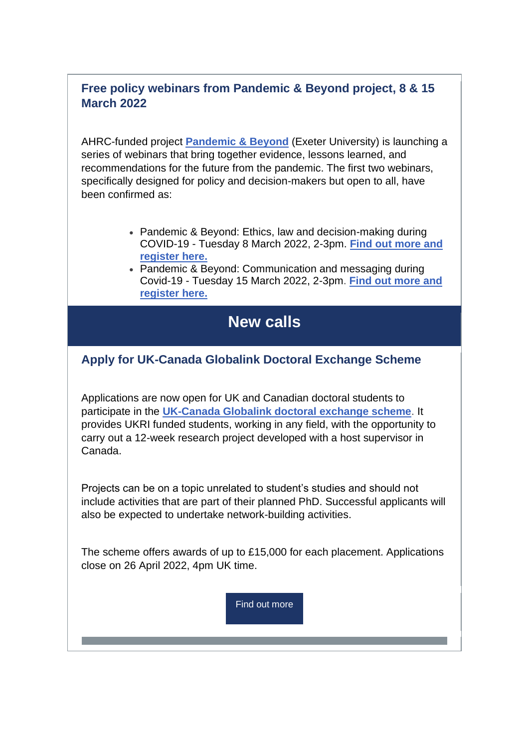### **Free policy webinars from Pandemic & Beyond project, 8 & 15 March 2022**

AHRC-funded project **[Pandemic & Beyond](https://r20.rs6.net/tn.jsp?f=001Ojx5rmEWqJ77zvCCeMJBv_PHMoqjztr6oEPE_ZDzOw5QtAwZlh3MpW_nVZbxnoAWGAWCaZsCX4GxXHpsBlJoZvamov_0beNBfOw9i5Wvd2_OySIbsCeYtijX20IWotOHRP0a3UMs5LAa9CHeFE4bch3b2tc90WOWjq9WZ9N4Eug=&c=lNuuC5O2zfp--JsveHg3aQwA69VCSNKAzLlpv0hg-61m04RdEIyt7A==&ch=IIRCc8U6I67SgowvXLtJlGl7K65x_13quDl6jd-r1EsTNF5k51Mo7Q==)** (Exeter University) is launching a series of webinars that bring together evidence, lessons learned, and recommendations for the future from the pandemic. The first two webinars, specifically designed for policy and decision-makers but open to all, have been confirmed as:

- Pandemic & Beyond: Ethics, law and decision-making during COVID-19 - Tuesday 8 March 2022, 2-3pm. **[Find out more and](https://r20.rs6.net/tn.jsp?f=001Ojx5rmEWqJ77zvCCeMJBv_PHMoqjztr6oEPE_ZDzOw5QtAwZlh3MpTJWU1ItyojMGuMgCP9tvGJ4PKvK5n1g_ehNpSzgrqar0PaTFbZJM2Prc5P2YGI06bE6JbfNLQV1_XnvI7lqtPFlytAfZWMIAy6TorO6DEltSwUgGr_1WZafTKXJnGCnYrxTJfnHGbo7TcLah1JhXOdZQZ-oF5UyfXm88mXtoUIP_yAWe_iyHlNNYQIYHb2poqH8-mUJ11i6NBQYTWN1PWw=&c=lNuuC5O2zfp--JsveHg3aQwA69VCSNKAzLlpv0hg-61m04RdEIyt7A==&ch=IIRCc8U6I67SgowvXLtJlGl7K65x_13quDl6jd-r1EsTNF5k51Mo7Q==)  [register here.](https://r20.rs6.net/tn.jsp?f=001Ojx5rmEWqJ77zvCCeMJBv_PHMoqjztr6oEPE_ZDzOw5QtAwZlh3MpTJWU1ItyojMGuMgCP9tvGJ4PKvK5n1g_ehNpSzgrqar0PaTFbZJM2Prc5P2YGI06bE6JbfNLQV1_XnvI7lqtPFlytAfZWMIAy6TorO6DEltSwUgGr_1WZafTKXJnGCnYrxTJfnHGbo7TcLah1JhXOdZQZ-oF5UyfXm88mXtoUIP_yAWe_iyHlNNYQIYHb2poqH8-mUJ11i6NBQYTWN1PWw=&c=lNuuC5O2zfp--JsveHg3aQwA69VCSNKAzLlpv0hg-61m04RdEIyt7A==&ch=IIRCc8U6I67SgowvXLtJlGl7K65x_13quDl6jd-r1EsTNF5k51Mo7Q==)**
- Pandemic & Beyond: Communication and messaging during Covid-19 - Tuesday 15 March 2022, 2-3pm. **[Find out more and](https://r20.rs6.net/tn.jsp?f=001Ojx5rmEWqJ77zvCCeMJBv_PHMoqjztr6oEPE_ZDzOw5QtAwZlh3MpTJWU1ItyojMJPZ2WdHLGi9cEvagvTtF3u6fs7j8kCeU-LxEBGf7FYr_zErgDLFJagmPs5wT2ZEKesgwovZWXgg9jA1B1OvGP90hRnXnqv14WlHC-mZljUdrY_-mFZPns6mw1VUruv8RNSn-W3f5hSCOe6FUQ1NutpMMGPoKRF8JldwFIVd8ON5O5Rfuo26IAW_5ST016Ky6FuTQQsvt8D4=&c=lNuuC5O2zfp--JsveHg3aQwA69VCSNKAzLlpv0hg-61m04RdEIyt7A==&ch=IIRCc8U6I67SgowvXLtJlGl7K65x_13quDl6jd-r1EsTNF5k51Mo7Q==)  [register here.](https://r20.rs6.net/tn.jsp?f=001Ojx5rmEWqJ77zvCCeMJBv_PHMoqjztr6oEPE_ZDzOw5QtAwZlh3MpTJWU1ItyojMJPZ2WdHLGi9cEvagvTtF3u6fs7j8kCeU-LxEBGf7FYr_zErgDLFJagmPs5wT2ZEKesgwovZWXgg9jA1B1OvGP90hRnXnqv14WlHC-mZljUdrY_-mFZPns6mw1VUruv8RNSn-W3f5hSCOe6FUQ1NutpMMGPoKRF8JldwFIVd8ON5O5Rfuo26IAW_5ST016Ky6FuTQQsvt8D4=&c=lNuuC5O2zfp--JsveHg3aQwA69VCSNKAzLlpv0hg-61m04RdEIyt7A==&ch=IIRCc8U6I67SgowvXLtJlGl7K65x_13quDl6jd-r1EsTNF5k51Mo7Q==)**

## **New calls**

### **Apply for UK-Canada Globalink Doctoral Exchange Scheme**

Applications are now open for UK and Canadian doctoral students to participate in the **[UK-Canada Globalink doctoral exchange scheme](https://r20.rs6.net/tn.jsp?f=001Ojx5rmEWqJ77zvCCeMJBv_PHMoqjztr6oEPE_ZDzOw5QtAwZlh3MpTJWU1ItyojMsOba6qUoTFaWagCs8Kvl7ax3cLhxZlsi-rOH0J_SxpjqSESLyHw5jdpfPM1-730lWYuQiEx-ljm4XLIYHt-3FkjIDZ2sUTU5iVShtnvTwhbpWDU9ULBBAqByV9szQyGPlURX9OPkRTeymqLR_qSb9zddJHII7sCI&c=lNuuC5O2zfp--JsveHg3aQwA69VCSNKAzLlpv0hg-61m04RdEIyt7A==&ch=IIRCc8U6I67SgowvXLtJlGl7K65x_13quDl6jd-r1EsTNF5k51Mo7Q==)**. It provides UKRI funded students, working in any field, with the opportunity to carry out a 12-week research project developed with a host supervisor in Canada.

Projects can be on a topic unrelated to student's studies and should not include activities that are part of their planned PhD. Successful applicants will also be expected to undertake network-building activities.

The scheme offers awards of up to £15,000 for each placement. Applications close on 26 April 2022, 4pm UK time.

[Find out more](https://r20.rs6.net/tn.jsp?f=001Ojx5rmEWqJ77zvCCeMJBv_PHMoqjztr6oEPE_ZDzOw5QtAwZlh3MpTJWU1ItyojMsOba6qUoTFaWagCs8Kvl7ax3cLhxZlsi-rOH0J_SxpjqSESLyHw5jdpfPM1-730lWYuQiEx-ljm4XLIYHt-3FkjIDZ2sUTU5iVShtnvTwhbpWDU9ULBBAqByV9szQyGPlURX9OPkRTeymqLR_qSb9zddJHII7sCI&c=lNuuC5O2zfp--JsveHg3aQwA69VCSNKAzLlpv0hg-61m04RdEIyt7A==&ch=IIRCc8U6I67SgowvXLtJlGl7K65x_13quDl6jd-r1EsTNF5k51Mo7Q==)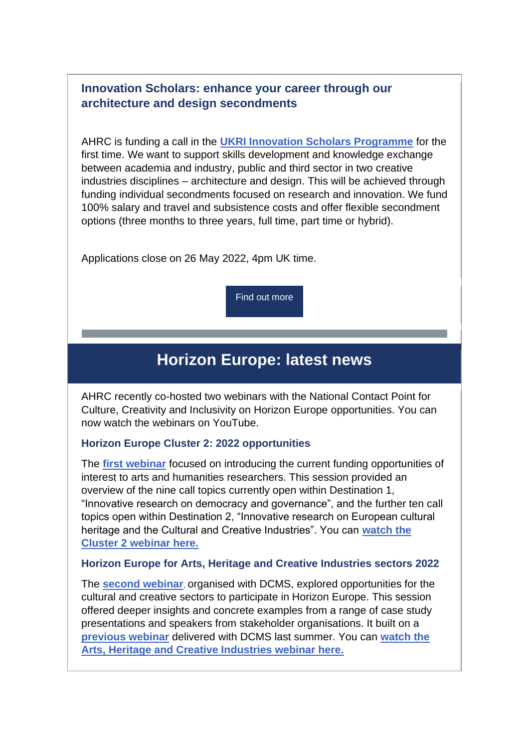#### **Innovation Scholars: enhance your career through our architecture and design secondments**

AHRC is funding a call in the **[UKRI Innovation Scholars Programme](https://r20.rs6.net/tn.jsp?f=001Ojx5rmEWqJ77zvCCeMJBv_PHMoqjztr6oEPE_ZDzOw5QtAwZlh3MpW2DifaiYAtrI93GpFluBM9hj5u_Gi256Zp7roDbVUtt5-dLuS8ui9yubktt3DwKMC5Qph2vWNc0k6UylhoxUaQ9VKNBDE-r8Cfcyxb5edU4rGzIRI9-ysl9xBnCMQSnWnd_hVJqte8XYXkyrdxL5KF79lZ3jqMq-tkLZq3KpqAbQfA-hq0Ey76IjFyoGjZQNxUouytaOZ8XGjR9RzR7KLk-E_b4Xhb_1A==&c=lNuuC5O2zfp--JsveHg3aQwA69VCSNKAzLlpv0hg-61m04RdEIyt7A==&ch=IIRCc8U6I67SgowvXLtJlGl7K65x_13quDl6jd-r1EsTNF5k51Mo7Q==)** for the first time. We want to support skills development and knowledge exchange between academia and industry, public and third sector in two creative industries disciplines – architecture and design. This will be achieved through funding individual secondments focused on research and innovation. We fund 100% salary and travel and subsistence costs and offer flexible secondment options (three months to three years, full time, part time or hybrid).

Applications close on 26 May 2022, 4pm UK time.

[Find out more](https://r20.rs6.net/tn.jsp?f=001Ojx5rmEWqJ77zvCCeMJBv_PHMoqjztr6oEPE_ZDzOw5QtAwZlh3MpW2DifaiYAtrI93GpFluBM9hj5u_Gi256Zp7roDbVUtt5-dLuS8ui9yubktt3DwKMC5Qph2vWNc0k6UylhoxUaQ9VKNBDE-r8Cfcyxb5edU4rGzIRI9-ysl9xBnCMQSnWnd_hVJqte8XYXkyrdxL5KF79lZ3jqMq-tkLZq3KpqAbQfA-hq0Ey76IjFyoGjZQNxUouytaOZ8XGjR9RzR7KLk-E_b4Xhb_1A==&c=lNuuC5O2zfp--JsveHg3aQwA69VCSNKAzLlpv0hg-61m04RdEIyt7A==&ch=IIRCc8U6I67SgowvXLtJlGl7K65x_13quDl6jd-r1EsTNF5k51Mo7Q==)

## **Horizon Europe: latest news**

AHRC recently co-hosted two webinars with the National Contact Point for Culture, Creativity and Inclusivity on Horizon Europe opportunities. You can now watch the webinars on YouTube.

#### **Horizon Europe Cluster 2: 2022 opportunities**

The **[first webinar](https://r20.rs6.net/tn.jsp?f=001Ojx5rmEWqJ77zvCCeMJBv_PHMoqjztr6oEPE_ZDzOw5QtAwZlh3MpTJWU1ItyojMKpbLVcUgJ1yYzRlZa1JqJpm8yp3qSPJ8nkwQC7fCdlYS8c1hszhwzC9CAzhDcDtA-TUUxaJPnRPjGHQPcViJ_-BTZDx5r0KCqPBc1qY9Y2CQ3OKdEMupbQ==&c=lNuuC5O2zfp--JsveHg3aQwA69VCSNKAzLlpv0hg-61m04RdEIyt7A==&ch=IIRCc8U6I67SgowvXLtJlGl7K65x_13quDl6jd-r1EsTNF5k51Mo7Q==)** focused on introducing the current funding opportunities of interest to arts and humanities researchers. This session provided an overview of the nine call topics currently open within Destination 1, "Innovative research on democracy and governance", and the further ten call topics open within Destination 2, "Innovative research on European cultural heritage and the Cultural and Creative Industries". You can **[watch the](https://r20.rs6.net/tn.jsp?f=001Ojx5rmEWqJ77zvCCeMJBv_PHMoqjztr6oEPE_ZDzOw5QtAwZlh3MpTJWU1ItyojMKpbLVcUgJ1yYzRlZa1JqJpm8yp3qSPJ8nkwQC7fCdlYS8c1hszhwzC9CAzhDcDtA-TUUxaJPnRPjGHQPcViJ_-BTZDx5r0KCqPBc1qY9Y2CQ3OKdEMupbQ==&c=lNuuC5O2zfp--JsveHg3aQwA69VCSNKAzLlpv0hg-61m04RdEIyt7A==&ch=IIRCc8U6I67SgowvXLtJlGl7K65x_13quDl6jd-r1EsTNF5k51Mo7Q==)  [Cluster 2 webinar here.](https://r20.rs6.net/tn.jsp?f=001Ojx5rmEWqJ77zvCCeMJBv_PHMoqjztr6oEPE_ZDzOw5QtAwZlh3MpTJWU1ItyojMKpbLVcUgJ1yYzRlZa1JqJpm8yp3qSPJ8nkwQC7fCdlYS8c1hszhwzC9CAzhDcDtA-TUUxaJPnRPjGHQPcViJ_-BTZDx5r0KCqPBc1qY9Y2CQ3OKdEMupbQ==&c=lNuuC5O2zfp--JsveHg3aQwA69VCSNKAzLlpv0hg-61m04RdEIyt7A==&ch=IIRCc8U6I67SgowvXLtJlGl7K65x_13quDl6jd-r1EsTNF5k51Mo7Q==)**

#### **Horizon Europe for Arts, Heritage and Creative Industries sectors 2022**

The **[second webinar](https://r20.rs6.net/tn.jsp?f=001Ojx5rmEWqJ77zvCCeMJBv_PHMoqjztr6oEPE_ZDzOw5QtAwZlh3MpTJWU1ItyojM9o18_Enl7zVmCQMPEiLSMX2fo7MfNsBZelBF8X8KyIl6PaRhn_GakzBrKpU_oRiCj0FT5_-rKUj4fh4AIztMDZ4ruSbwW8ZuJsT8cHgFijhlpfnUOnX-bg==&c=lNuuC5O2zfp--JsveHg3aQwA69VCSNKAzLlpv0hg-61m04RdEIyt7A==&ch=IIRCc8U6I67SgowvXLtJlGl7K65x_13quDl6jd-r1EsTNF5k51Mo7Q==)**, organised with DCMS, explored opportunities for the cultural and creative sectors to participate in Horizon Europe. This session offered deeper insights and concrete examples from a range of case study presentations and speakers from stakeholder organisations. It built on a **[previous webinar](https://r20.rs6.net/tn.jsp?f=001Ojx5rmEWqJ77zvCCeMJBv_PHMoqjztr6oEPE_ZDzOw5QtAwZlh3MpW_nVZbxnoAWZf66zrFPIEqLXODxSFohrCdWa1sgZhK2l3j1rAOfTK5HyrIT9ir2shwjbuAchAu7Ju0xLftUII49GlaDOzcFWwCkLOe9wgDxtMDhQDP5aJL_tbtdVS04rw==&c=lNuuC5O2zfp--JsveHg3aQwA69VCSNKAzLlpv0hg-61m04RdEIyt7A==&ch=IIRCc8U6I67SgowvXLtJlGl7K65x_13quDl6jd-r1EsTNF5k51Mo7Q==)** delivered with DCMS last summer. You can **[watch the](https://r20.rs6.net/tn.jsp?f=001Ojx5rmEWqJ77zvCCeMJBv_PHMoqjztr6oEPE_ZDzOw5QtAwZlh3MpTJWU1ItyojM9o18_Enl7zVmCQMPEiLSMX2fo7MfNsBZelBF8X8KyIl6PaRhn_GakzBrKpU_oRiCj0FT5_-rKUj4fh4AIztMDZ4ruSbwW8ZuJsT8cHgFijhlpfnUOnX-bg==&c=lNuuC5O2zfp--JsveHg3aQwA69VCSNKAzLlpv0hg-61m04RdEIyt7A==&ch=IIRCc8U6I67SgowvXLtJlGl7K65x_13quDl6jd-r1EsTNF5k51Mo7Q==)  [Arts, Heritage and Creative Industries webinar here.](https://r20.rs6.net/tn.jsp?f=001Ojx5rmEWqJ77zvCCeMJBv_PHMoqjztr6oEPE_ZDzOw5QtAwZlh3MpTJWU1ItyojM9o18_Enl7zVmCQMPEiLSMX2fo7MfNsBZelBF8X8KyIl6PaRhn_GakzBrKpU_oRiCj0FT5_-rKUj4fh4AIztMDZ4ruSbwW8ZuJsT8cHgFijhlpfnUOnX-bg==&c=lNuuC5O2zfp--JsveHg3aQwA69VCSNKAzLlpv0hg-61m04RdEIyt7A==&ch=IIRCc8U6I67SgowvXLtJlGl7K65x_13quDl6jd-r1EsTNF5k51Mo7Q==)**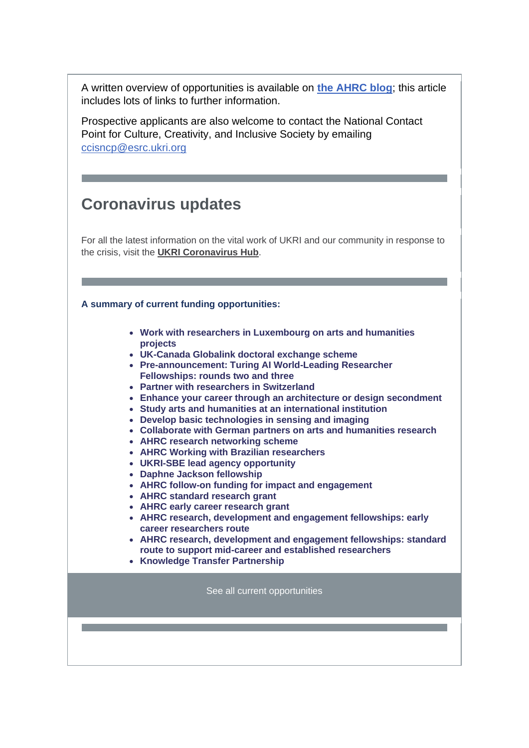A written overview of opportunities is available on **[the AHRC blog](https://r20.rs6.net/tn.jsp?f=001Ojx5rmEWqJ77zvCCeMJBv_PHMoqjztr6oEPE_ZDzOw5QtAwZlh3MpTJWU1ItyojMY6lcPK2ojkLGvhii1tA0GOS7aUqnurNQd3ykht0ViLnovT9BcVvuozNM38342aJXY9SxavMlLb3y11QMKmUz-SkrIIztRR7ClLwi0nVrutMNVSSONcUE6vGXUXba-iI9CJl-umA1dj24xFGZaebh1u0tY7JeQK5nScEvV4w8EpI=&c=lNuuC5O2zfp--JsveHg3aQwA69VCSNKAzLlpv0hg-61m04RdEIyt7A==&ch=IIRCc8U6I67SgowvXLtJlGl7K65x_13quDl6jd-r1EsTNF5k51Mo7Q==)**; this article includes lots of links to further information.

Prospective applicants are also welcome to contact the National Contact Point for Culture, Creativity, and Inclusive Society by emailing [ccisncp@esrc.ukri.org](mailto:ccisncp@esrc.ukri.org)

### **Coronavirus updates**

For all the latest information on the vital work of UKRI and our community in response to the crisis, visit the **[UKRI Coronavirus Hub](https://r20.rs6.net/tn.jsp?f=001Ojx5rmEWqJ77zvCCeMJBv_PHMoqjztr6oEPE_ZDzOw5QtAwZlh3MpRUOLnXg72uCu5pCJLNpICjXbBYvoYqGcB8bzNXj2576uMpgBDsbYN8OCddCZpF5FLGhZHDr9_5cTBK8Ehaxt7EJO1cQ9Woc1DHfgREK_Fb3I28GJOOD0QY=&c=lNuuC5O2zfp--JsveHg3aQwA69VCSNKAzLlpv0hg-61m04RdEIyt7A==&ch=IIRCc8U6I67SgowvXLtJlGl7K65x_13quDl6jd-r1EsTNF5k51Mo7Q==)**.

#### **A summary of current funding opportunities:**

- **[Work with researchers in Luxembourg on arts and humanities](https://r20.rs6.net/tn.jsp?f=001Ojx5rmEWqJ77zvCCeMJBv_PHMoqjztr6oEPE_ZDzOw5QtAwZlh3MpTJWU1ItyojMRzjnPZIzFih10jj51BF4wR-jNEpwiq0vzIDhN-aHxQZ4paDWc1whNCz20wJDOQsIJ3WMYJYQZfeK5SY03dvpzAx0wBVDhOlu2QiiESlVcRY8nl8t2LSgVO06vF1nuFcW2mnZFWqN9rbHQv0R_5f8hwZIsiQ17qvLIb2MfmDbhaEiMvDjxkaqvKqEtJBX-Ob4&c=lNuuC5O2zfp--JsveHg3aQwA69VCSNKAzLlpv0hg-61m04RdEIyt7A==&ch=IIRCc8U6I67SgowvXLtJlGl7K65x_13quDl6jd-r1EsTNF5k51Mo7Q==)  [projects](https://r20.rs6.net/tn.jsp?f=001Ojx5rmEWqJ77zvCCeMJBv_PHMoqjztr6oEPE_ZDzOw5QtAwZlh3MpTJWU1ItyojMRzjnPZIzFih10jj51BF4wR-jNEpwiq0vzIDhN-aHxQZ4paDWc1whNCz20wJDOQsIJ3WMYJYQZfeK5SY03dvpzAx0wBVDhOlu2QiiESlVcRY8nl8t2LSgVO06vF1nuFcW2mnZFWqN9rbHQv0R_5f8hwZIsiQ17qvLIb2MfmDbhaEiMvDjxkaqvKqEtJBX-Ob4&c=lNuuC5O2zfp--JsveHg3aQwA69VCSNKAzLlpv0hg-61m04RdEIyt7A==&ch=IIRCc8U6I67SgowvXLtJlGl7K65x_13quDl6jd-r1EsTNF5k51Mo7Q==)**
- **[UK-Canada Globalink doctoral exchange scheme](https://r20.rs6.net/tn.jsp?f=001Ojx5rmEWqJ77zvCCeMJBv_PHMoqjztr6oEPE_ZDzOw5QtAwZlh3MpTJWU1ItyojMsOba6qUoTFaWagCs8Kvl7ax3cLhxZlsi-rOH0J_SxpjqSESLyHw5jdpfPM1-730lWYuQiEx-ljm4XLIYHt-3FkjIDZ2sUTU5iVShtnvTwhbpWDU9ULBBAqByV9szQyGPlURX9OPkRTeymqLR_qSb9zddJHII7sCI&c=lNuuC5O2zfp--JsveHg3aQwA69VCSNKAzLlpv0hg-61m04RdEIyt7A==&ch=IIRCc8U6I67SgowvXLtJlGl7K65x_13quDl6jd-r1EsTNF5k51Mo7Q==)**
- **[Pre-announcement: Turing AI World-Leading Researcher](https://r20.rs6.net/tn.jsp?f=001Ojx5rmEWqJ77zvCCeMJBv_PHMoqjztr6oEPE_ZDzOw5QtAwZlh3MpTJWU1ItyojMxScpcjW-c6si2kzmfkGSskGtSCsOX1motRxHhY72L-LWKc5oDVCxUHZ-8zytTHPLRzyOoGOS6jGOPUMaUhQtk9YEO2_sf_9tkj166hxslXoc7s_1fW84tUC-w0ZlDMyiEMFo5vjGtaTWG4UmSzwQ3-5Kd74_5Wt4Rj-AB8cuBIG0YeaLkpEmU6B4xRUWoE4E&c=lNuuC5O2zfp--JsveHg3aQwA69VCSNKAzLlpv0hg-61m04RdEIyt7A==&ch=IIRCc8U6I67SgowvXLtJlGl7K65x_13quDl6jd-r1EsTNF5k51Mo7Q==)  [Fellowships: rounds two and three](https://r20.rs6.net/tn.jsp?f=001Ojx5rmEWqJ77zvCCeMJBv_PHMoqjztr6oEPE_ZDzOw5QtAwZlh3MpTJWU1ItyojMxScpcjW-c6si2kzmfkGSskGtSCsOX1motRxHhY72L-LWKc5oDVCxUHZ-8zytTHPLRzyOoGOS6jGOPUMaUhQtk9YEO2_sf_9tkj166hxslXoc7s_1fW84tUC-w0ZlDMyiEMFo5vjGtaTWG4UmSzwQ3-5Kd74_5Wt4Rj-AB8cuBIG0YeaLkpEmU6B4xRUWoE4E&c=lNuuC5O2zfp--JsveHg3aQwA69VCSNKAzLlpv0hg-61m04RdEIyt7A==&ch=IIRCc8U6I67SgowvXLtJlGl7K65x_13quDl6jd-r1EsTNF5k51Mo7Q==)**
- **[Partner with researchers in Switzerland](https://r20.rs6.net/tn.jsp?f=001Ojx5rmEWqJ77zvCCeMJBv_PHMoqjztr6oEPE_ZDzOw5QtAwZlh3MpfMIj0GF6RUj1uhwh1hEmf6e6KqhR2GCquazc5uLrVCsVPlcQhh8l1qeQF8-a2PGYiRErtiNc09o0aIjqrRBQFtNEqSzp-YsrU9eC_FFWQDGZ7EXDN9nnLPFv9xfDP9zb5xkCXHkmHqsCuWbvktnfHi7h3UwVBmRVA==&c=lNuuC5O2zfp--JsveHg3aQwA69VCSNKAzLlpv0hg-61m04RdEIyt7A==&ch=IIRCc8U6I67SgowvXLtJlGl7K65x_13quDl6jd-r1EsTNF5k51Mo7Q==)**
- **[Enhance your career through an architecture or design secondment](https://r20.rs6.net/tn.jsp?f=001Ojx5rmEWqJ77zvCCeMJBv_PHMoqjztr6oEPE_ZDzOw5QtAwZlh3MpW2DifaiYAtrI93GpFluBM9hj5u_Gi256Zp7roDbVUtt5-dLuS8ui9yubktt3DwKMC5Qph2vWNc0k6UylhoxUaQ9VKNBDE-r8Cfcyxb5edU4rGzIRI9-ysl9xBnCMQSnWnd_hVJqte8XYXkyrdxL5KF79lZ3jqMq-tkLZq3KpqAbQfA-hq0Ey76IjFyoGjZQNxUouytaOZ8XGjR9RzR7KLk-E_b4Xhb_1A==&c=lNuuC5O2zfp--JsveHg3aQwA69VCSNKAzLlpv0hg-61m04RdEIyt7A==&ch=IIRCc8U6I67SgowvXLtJlGl7K65x_13quDl6jd-r1EsTNF5k51Mo7Q==)**
- **[Study arts and humanities at an international institution](https://r20.rs6.net/tn.jsp?f=001Ojx5rmEWqJ77zvCCeMJBv_PHMoqjztr6oEPE_ZDzOw5QtAwZlh3MpW2DifaiYAtrxIN_4URS3Ok0SkwT-mE4ZyrVrXCjOj0tBP4W9tABBiQ-uYSEMRUK7QuvUXvS-Z-UH5s7A-RTJ4izpgZa-Mz24HIAEbRc8BGbu36jihzCQ8hGWZFweTmDiKVM3RWw8uFfgZn0HzbAr61NkOENutrxWBme9qq6mLh9RWNmvY9tJp8y2wkHRvI0Aw==&c=lNuuC5O2zfp--JsveHg3aQwA69VCSNKAzLlpv0hg-61m04RdEIyt7A==&ch=IIRCc8U6I67SgowvXLtJlGl7K65x_13quDl6jd-r1EsTNF5k51Mo7Q==)**
- **[Develop basic technologies in sensing and imaging](https://r20.rs6.net/tn.jsp?f=001Ojx5rmEWqJ77zvCCeMJBv_PHMoqjztr6oEPE_ZDzOw5QtAwZlh3MpW2DifaiYAtrL1lacsl8UAxC3BYKgpevy9lnM9a36A7C4QYhuK6vGD0etrjDXsJHzxHTKNvJNdSa-KQydOmhq1siHejmgMsWVMS8BA-Xsh2ZAHnQK84Sbyew20sKaOgH3oM5T_jpMHXOIaSqAqJvvsvAfe4hS5mNjkE6Re11zbc6594RDvxw_co=&c=lNuuC5O2zfp--JsveHg3aQwA69VCSNKAzLlpv0hg-61m04RdEIyt7A==&ch=IIRCc8U6I67SgowvXLtJlGl7K65x_13quDl6jd-r1EsTNF5k51Mo7Q==)**
- **[Collaborate with German partners on arts and humanities research](https://r20.rs6.net/tn.jsp?f=001Ojx5rmEWqJ77zvCCeMJBv_PHMoqjztr6oEPE_ZDzOw5QtAwZlh3MpW2DifaiYAtrHlwATmYhmvT-xQ3SRIGn8p5AWgcsXcAVPyFAvcvECmn6Nfb9LVM7_VwaOLUqHDunOzZLFHjYaDC2Q-7CUlCYzDqAsjKXfQfKqErSI-iq0R2OSCEX0KPl16yocSr0AVdAIMRRwtCmEDVRFh_U_DdqJ519VFhOtZyExMkvWXpgJHvNrstT9ubGDA==&c=lNuuC5O2zfp--JsveHg3aQwA69VCSNKAzLlpv0hg-61m04RdEIyt7A==&ch=IIRCc8U6I67SgowvXLtJlGl7K65x_13quDl6jd-r1EsTNF5k51Mo7Q==)**
- **[AHRC research networking scheme](https://r20.rs6.net/tn.jsp?f=001Ojx5rmEWqJ77zvCCeMJBv_PHMoqjztr6oEPE_ZDzOw5QtAwZlh3Mpd9L5K2a3QgvLG2ml7rG_oqAxC_1HpzXOQgEzf5lpS7VcIrUSda1Bc-Wab2qf00Hcf-kpkZsaxZq0QkQUuhH_dgm2par_2e9Fx9iYUrPYHoGSPHNHIuT2KzP6Zi7Ls2Yij5y6aibfLn1cjD_FhE3Sic=&c=lNuuC5O2zfp--JsveHg3aQwA69VCSNKAzLlpv0hg-61m04RdEIyt7A==&ch=IIRCc8U6I67SgowvXLtJlGl7K65x_13quDl6jd-r1EsTNF5k51Mo7Q==)**
- **[AHRC Working with Brazilian researchers](https://r20.rs6.net/tn.jsp?f=001Ojx5rmEWqJ77zvCCeMJBv_PHMoqjztr6oEPE_ZDzOw5QtAwZlh3Mpd9L5K2a3Qgvusixl0-nFWXt9WN3orPq968bRtAo2xwr3RDuR44xO9xWX6dbQvAJZGeMd4SjhGr7XxGJynxhIUiu4RMBSs-t9k7oAP01aVNhYErLcsjGGs9KjsJW9aC_T1CRaTx6odZ6aozTazicbcIsXx3vMxoqWg==&c=lNuuC5O2zfp--JsveHg3aQwA69VCSNKAzLlpv0hg-61m04RdEIyt7A==&ch=IIRCc8U6I67SgowvXLtJlGl7K65x_13quDl6jd-r1EsTNF5k51Mo7Q==)**
- **[UKRI-SBE lead agency opportunity](https://r20.rs6.net/tn.jsp?f=001Ojx5rmEWqJ77zvCCeMJBv_PHMoqjztr6oEPE_ZDzOw5QtAwZlh3Mpd9L5K2a3Qgvq8FhLfod30NuqZpCj3flvvKn1zSoknA3H9HYVDCDtksN5xxwHq8SVyQyYSHb2XaFd_iX6v8RCYcxFkknQrqVS1tj1dAkluTTOyWVLyBghAvspxr7USWXzm3agNMvPyc2lgJg7Xtpv4k=&c=lNuuC5O2zfp--JsveHg3aQwA69VCSNKAzLlpv0hg-61m04RdEIyt7A==&ch=IIRCc8U6I67SgowvXLtJlGl7K65x_13quDl6jd-r1EsTNF5k51Mo7Q==)**
- **[Daphne Jackson fellowship](https://r20.rs6.net/tn.jsp?f=001Ojx5rmEWqJ77zvCCeMJBv_PHMoqjztr6oEPE_ZDzOw5QtAwZlh3Mpd9L5K2a3QgvcyhFf3RpCXkkNQEeWIWYl6Ph9UUL8vN3ww3G2Bba4y79pTdyjiSh6YhXk6MqQqKM3tNdY5TM_KU5kK5EWSUzGqw_a87LMBP8tTh09w8ODtheneO0syPRylGdgKstZtqZD9KbdOZe7zQ=&c=lNuuC5O2zfp--JsveHg3aQwA69VCSNKAzLlpv0hg-61m04RdEIyt7A==&ch=IIRCc8U6I67SgowvXLtJlGl7K65x_13quDl6jd-r1EsTNF5k51Mo7Q==)**
- **[AHRC follow-on funding for impact and engagement](https://r20.rs6.net/tn.jsp?f=001Ojx5rmEWqJ77zvCCeMJBv_PHMoqjztr6oEPE_ZDzOw5QtAwZlh3Mpd9L5K2a3Qgv1apRkle0hPGhEXKlTYx95wI0u22cY2FnChqLpqWkyjn5UXbPOyi4rXDgEcqWunuNEUWnlgCbyQhcnokH38_Z1JcJsYImJYrpAgBn1Yyz3Ns6a44zcXJAos1SWj1k9FuYp5L3jFkHcYJ9lGRmoXyXG_QfbZqgrcDC&c=lNuuC5O2zfp--JsveHg3aQwA69VCSNKAzLlpv0hg-61m04RdEIyt7A==&ch=IIRCc8U6I67SgowvXLtJlGl7K65x_13quDl6jd-r1EsTNF5k51Mo7Q==)**
- **[AHRC standard research grant](https://r20.rs6.net/tn.jsp?f=001Ojx5rmEWqJ77zvCCeMJBv_PHMoqjztr6oEPE_ZDzOw5QtAwZlh3Mpd9L5K2a3Qgv9qVpUuZITcflptTRV3FvUEmMbjIwJIuJyM6ZSfSBdD6oJVVROURyxO_r7A4L5ZPUWL0ne_Fal59kkvt41xtFihck7CUxEXWbw8fWFL0s4yrOpJy5vSdV0Ys4j2VkPmQTt9seTfMwxpA=&c=lNuuC5O2zfp--JsveHg3aQwA69VCSNKAzLlpv0hg-61m04RdEIyt7A==&ch=IIRCc8U6I67SgowvXLtJlGl7K65x_13quDl6jd-r1EsTNF5k51Mo7Q==)**
- **[AHRC early career research grant](https://r20.rs6.net/tn.jsp?f=001Ojx5rmEWqJ77zvCCeMJBv_PHMoqjztr6oEPE_ZDzOw5QtAwZlh3Mpd9L5K2a3Qgvmj6DU_ReG7A0Ed48A9OxQQfNZn6IXVgVfZjmiA972EQjt2sK_wiTEWnu55zdkrP13_48H9auPkVXd94UH693ALS8EFQnN-bRzDqUhWtWPzUjQ5ilES3DroQZ_3BENWw3NZxbPCqJuD8=&c=lNuuC5O2zfp--JsveHg3aQwA69VCSNKAzLlpv0hg-61m04RdEIyt7A==&ch=IIRCc8U6I67SgowvXLtJlGl7K65x_13quDl6jd-r1EsTNF5k51Mo7Q==)**
- **[AHRC research, development and engagement fellowships: early](https://r20.rs6.net/tn.jsp?f=001Ojx5rmEWqJ77zvCCeMJBv_PHMoqjztr6oEPE_ZDzOw5QtAwZlh3Mpd9L5K2a3Qgv5VqXwELUntx4oOhCkRQJuZtk7u20mZWiwNVYTRrxx-sbjjNlwisP38DlctHQZuQ3HsGN99HvjCitUjO5KL8NItRfgo42Lv_D9HVajsU6UqfNdzj0EVRprOyKyMrmv1ySKEbIHrXm2tQ6ttLzmhmTp6uBNP8Kas2GVZJy9M6_j8ampoMLTE_SRQL5Sy4-8bhFrLwjRIxCgWUPF3z5jdN0Ug==&c=lNuuC5O2zfp--JsveHg3aQwA69VCSNKAzLlpv0hg-61m04RdEIyt7A==&ch=IIRCc8U6I67SgowvXLtJlGl7K65x_13quDl6jd-r1EsTNF5k51Mo7Q==)  [career researchers route](https://r20.rs6.net/tn.jsp?f=001Ojx5rmEWqJ77zvCCeMJBv_PHMoqjztr6oEPE_ZDzOw5QtAwZlh3Mpd9L5K2a3Qgv5VqXwELUntx4oOhCkRQJuZtk7u20mZWiwNVYTRrxx-sbjjNlwisP38DlctHQZuQ3HsGN99HvjCitUjO5KL8NItRfgo42Lv_D9HVajsU6UqfNdzj0EVRprOyKyMrmv1ySKEbIHrXm2tQ6ttLzmhmTp6uBNP8Kas2GVZJy9M6_j8ampoMLTE_SRQL5Sy4-8bhFrLwjRIxCgWUPF3z5jdN0Ug==&c=lNuuC5O2zfp--JsveHg3aQwA69VCSNKAzLlpv0hg-61m04RdEIyt7A==&ch=IIRCc8U6I67SgowvXLtJlGl7K65x_13quDl6jd-r1EsTNF5k51Mo7Q==)**
- **[AHRC research, development and engagement fellowships: standard](https://r20.rs6.net/tn.jsp?f=001Ojx5rmEWqJ77zvCCeMJBv_PHMoqjztr6oEPE_ZDzOw5QtAwZlh3Mpd9L5K2a3QgvCWK1EnHiq0iSNo-zdxex6b_sxyw-pfMz9X3n670m06DTywubUhDeGNQ8usRuik-Fzfe-D7h2D573OtPPYaOYt-kvuxKTlswt8S17Zxk4VCxnPhypSIVLjtCUC1D5eXg5VO0aThWkmJo5zApTAVByQysckfZzB7STfQD7QJO_ThJAOOSIXFBjQB5-JBJPXs-HfSjNIX5bABOjYtG543RFmb2x08eNBXlxKwH0U9Rbjz5SPygsoYCMZgu1IW62ZiAL&c=lNuuC5O2zfp--JsveHg3aQwA69VCSNKAzLlpv0hg-61m04RdEIyt7A==&ch=IIRCc8U6I67SgowvXLtJlGl7K65x_13quDl6jd-r1EsTNF5k51Mo7Q==)  [route to support mid-career and established researchers](https://r20.rs6.net/tn.jsp?f=001Ojx5rmEWqJ77zvCCeMJBv_PHMoqjztr6oEPE_ZDzOw5QtAwZlh3Mpd9L5K2a3QgvCWK1EnHiq0iSNo-zdxex6b_sxyw-pfMz9X3n670m06DTywubUhDeGNQ8usRuik-Fzfe-D7h2D573OtPPYaOYt-kvuxKTlswt8S17Zxk4VCxnPhypSIVLjtCUC1D5eXg5VO0aThWkmJo5zApTAVByQysckfZzB7STfQD7QJO_ThJAOOSIXFBjQB5-JBJPXs-HfSjNIX5bABOjYtG543RFmb2x08eNBXlxKwH0U9Rbjz5SPygsoYCMZgu1IW62ZiAL&c=lNuuC5O2zfp--JsveHg3aQwA69VCSNKAzLlpv0hg-61m04RdEIyt7A==&ch=IIRCc8U6I67SgowvXLtJlGl7K65x_13quDl6jd-r1EsTNF5k51Mo7Q==)**
- **[Knowledge Transfer Partnership](https://r20.rs6.net/tn.jsp?f=001Ojx5rmEWqJ77zvCCeMJBv_PHMoqjztr6oEPE_ZDzOw5QtAwZlh3Mpd9L5K2a3QgvGM0A4hYGQ-pgJ00ilSk-PpvwlQVqwDc-2N4hsmshgkctS5uvpr22vBszdqVutmV9O_FgynzQOdhBj4PVVbk0KvBLhzo-CiptqgMJ6z2u_W6DOkgQ4bD_nxRdZ6AbmglyB6gZFnqBBoU=&c=lNuuC5O2zfp--JsveHg3aQwA69VCSNKAzLlpv0hg-61m04RdEIyt7A==&ch=IIRCc8U6I67SgowvXLtJlGl7K65x_13quDl6jd-r1EsTNF5k51Mo7Q==)**

[See all current opportunities](https://r20.rs6.net/tn.jsp?f=001Ojx5rmEWqJ77zvCCeMJBv_PHMoqjztr6oEPE_ZDzOw5QtAwZlh3Mpd9L5K2a3QgvEtLxC0KyzoLL2wGIZuYhVjAkDNg_7459U431Kr1teq-gI66OE_VaGoY8f8aFV_4Ccv9xfM7pfDeLjuqYe5xu90Q5W3Fzx5NojhF9bin3UqHmYgHBr0y9zXQYQI64SR78nDshO2T5wRYSNLk_XL7FQ-hvJnANP83bB2HJUjOAa45aLxFisJiZKpaRztx4KHoY1Jy0WY9sDYBU8VkxagoaJIXo-LFkY0ZY5XndNhObJ75umB-ZX5b9mKu3ERDFNq5FRajROgtNiXEWvMIgfgXb59Oqy5k3DiFC-mFE3_Xj0rXeb_0wnPlTNQ==&c=lNuuC5O2zfp--JsveHg3aQwA69VCSNKAzLlpv0hg-61m04RdEIyt7A==&ch=IIRCc8U6I67SgowvXLtJlGl7K65x_13quDl6jd-r1EsTNF5k51Mo7Q==)